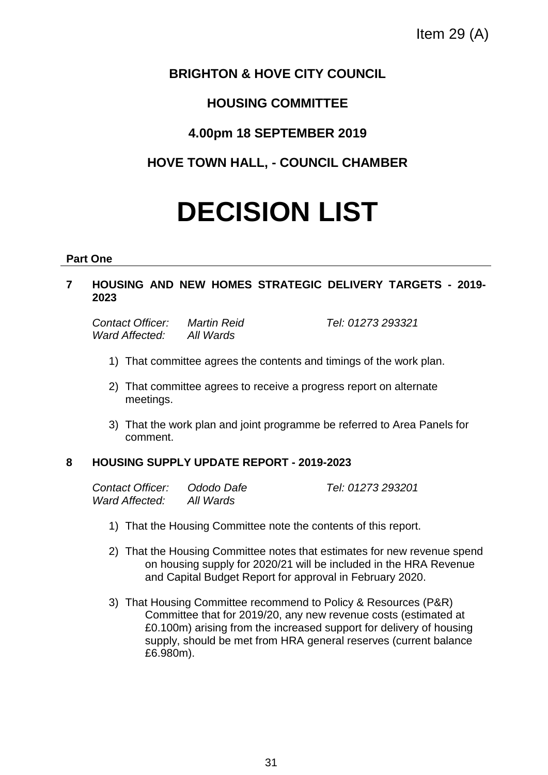# **BRIGHTON & HOVE CITY COUNCIL**

# **HOUSING COMMITTEE**

# **4.00pm 18 SEPTEMBER 2019**

# **HOVE TOWN HALL, - COUNCIL CHAMBER**

# **DECISION LIST**

## **Part One**

## **7 HOUSING AND NEW HOMES STRATEGIC DELIVERY TARGETS - 2019- 2023**

*Contact Officer: Martin Reid Tel: 01273 293321 Ward Affected: All Wards*

- 1) That committee agrees the contents and timings of the work plan.
- 2) That committee agrees to receive a progress report on alternate meetings.
- 3) That the work plan and joint programme be referred to Area Panels for comment.

# **8 HOUSING SUPPLY UPDATE REPORT - 2019-2023**

| Contact Officer: | Ododo Dafe | Tel: 01273 293201 |
|------------------|------------|-------------------|
| Ward Affected:   | All Wards  |                   |

- 1) That the Housing Committee note the contents of this report.
- 2) That the Housing Committee notes that estimates for new revenue spend on housing supply for 2020/21 will be included in the HRA Revenue and Capital Budget Report for approval in February 2020.
- 3) That Housing Committee recommend to Policy & Resources (P&R) Committee that for 2019/20, any new revenue costs (estimated at £0.100m) arising from the increased support for delivery of housing supply, should be met from HRA general reserves (current balance £6.980m).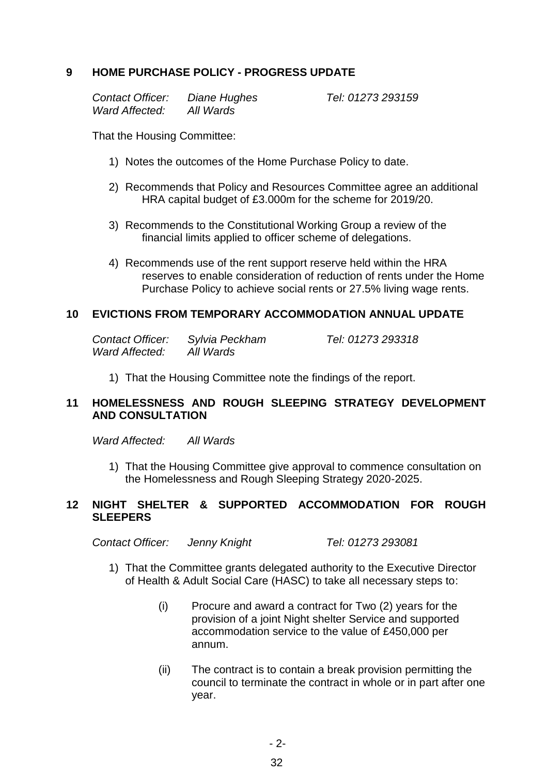## **9 HOME PURCHASE POLICY - PROGRESS UPDATE**

*Contact Officer: Diane Hughes Tel: 01273 293159 Ward Affected: All Wards*

That the Housing Committee:

- 1) Notes the outcomes of the Home Purchase Policy to date.
- 2) Recommends that Policy and Resources Committee agree an additional HRA capital budget of £3.000m for the scheme for 2019/20.
- 3) Recommends to the Constitutional Working Group a review of the financial limits applied to officer scheme of delegations.
- 4) Recommends use of the rent support reserve held within the HRA reserves to enable consideration of reduction of rents under the Home Purchase Policy to achieve social rents or 27.5% living wage rents.

#### **10 EVICTIONS FROM TEMPORARY ACCOMMODATION ANNUAL UPDATE**

| <b>Contact Officer:</b> | Sylvia Peckham |
|-------------------------|----------------|
| Ward Affected:          | All Wards      |

*Contact Officer: Sylvia Peckham Tel: 01273 293318*

1) That the Housing Committee note the findings of the report.

## **11 HOMELESSNESS AND ROUGH SLEEPING STRATEGY DEVELOPMENT AND CONSULTATION**

*Ward Affected: All Wards*

1) That the Housing Committee give approval to commence consultation on the Homelessness and Rough Sleeping Strategy 2020-2025.

#### **12 NIGHT SHELTER & SUPPORTED ACCOMMODATION FOR ROUGH SLEEPERS**

*Contact Officer: Jenny Knight Tel: 01273 293081*

- 1) That the Committee grants delegated authority to the Executive Director of Health & Adult Social Care (HASC) to take all necessary steps to:
	- (i) Procure and award a contract for Two (2) years for the provision of a joint Night shelter Service and supported accommodation service to the value of £450,000 per annum.
	- (ii) The contract is to contain a break provision permitting the council to terminate the contract in whole or in part after one year.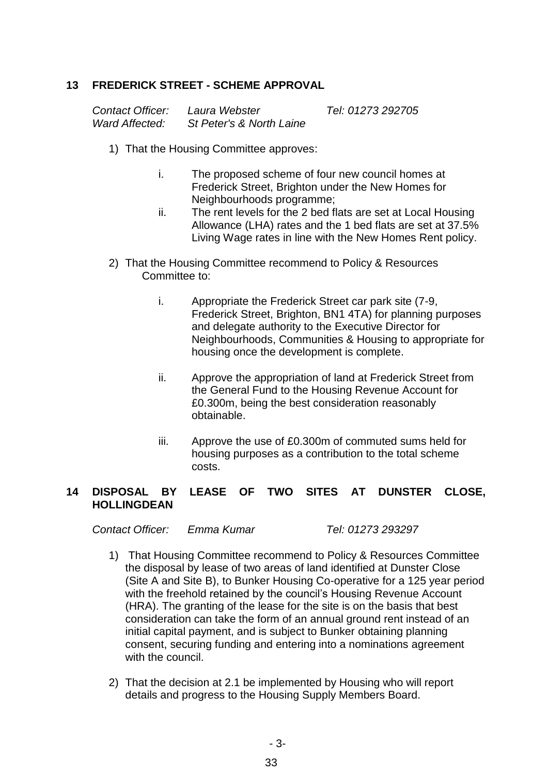### **13 FREDERICK STREET - SCHEME APPROVAL**

| Contact Officer: | Laura Webster            | Tel: 01273 292705 |
|------------------|--------------------------|-------------------|
| Ward Affected:   | St Peter's & North Laine |                   |

- 1) That the Housing Committee approves:
	- i. The proposed scheme of four new council homes at Frederick Street, Brighton under the New Homes for Neighbourhoods programme;
	- ii. The rent levels for the 2 bed flats are set at Local Housing Allowance (LHA) rates and the 1 bed flats are set at 37.5% Living Wage rates in line with the New Homes Rent policy.
- 2) That the Housing Committee recommend to Policy & Resources Committee to:
	- i. Appropriate the Frederick Street car park site (7-9, Frederick Street, Brighton, BN1 4TA) for planning purposes and delegate authority to the Executive Director for Neighbourhoods, Communities & Housing to appropriate for housing once the development is complete.
	- ii. Approve the appropriation of land at Frederick Street from the General Fund to the Housing Revenue Account for £0.300m, being the best consideration reasonably obtainable.
	- iii. Approve the use of £0.300m of commuted sums held for housing purposes as a contribution to the total scheme costs.

#### **14 DISPOSAL BY LEASE OF TWO SITES AT DUNSTER CLOSE, HOLLINGDEAN**

*Contact Officer: Emma Kumar Tel: 01273 293297*

- 1) That Housing Committee recommend to Policy & Resources Committee the disposal by lease of two areas of land identified at Dunster Close (Site A and Site B), to Bunker Housing Co-operative for a 125 year period with the freehold retained by the council's Housing Revenue Account (HRA). The granting of the lease for the site is on the basis that best consideration can take the form of an annual ground rent instead of an initial capital payment, and is subject to Bunker obtaining planning consent, securing funding and entering into a nominations agreement with the council.
- 2) That the decision at 2.1 be implemented by Housing who will report details and progress to the Housing Supply Members Board.